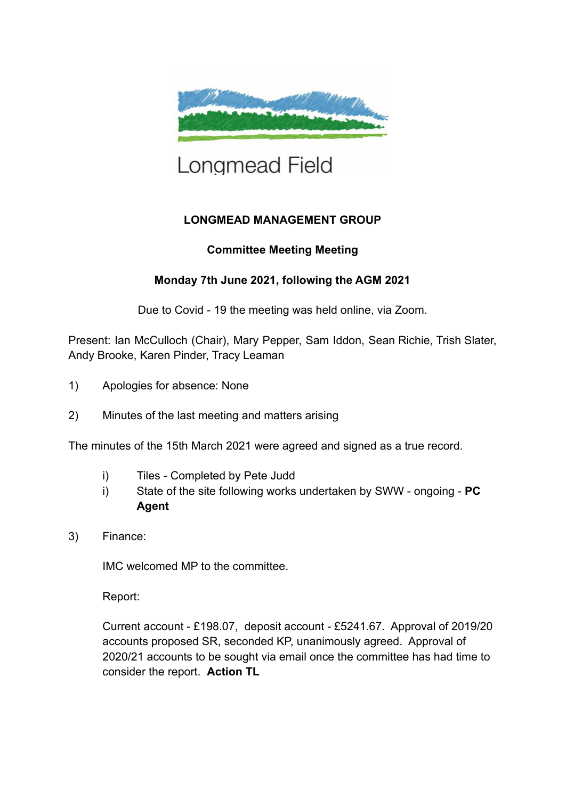

## Longmead Field

## **LONGMEAD MANAGEMENT GROUP**

## **Committee Meeting Meeting**

## **Monday 7th June 2021, following the AGM 2021**

Due to Covid - 19 the meeting was held online, via Zoom.

Present: Ian McCulloch (Chair), Mary Pepper, Sam Iddon, Sean Richie, Trish Slater, Andy Brooke, Karen Pinder, Tracy Leaman

- 1) Apologies for absence: None
- 2) Minutes of the last meeting and matters arising

The minutes of the 15th March 2021 were agreed and signed as a true record.

- i) Tiles Completed by Pete Judd
- i) State of the site following works undertaken by SWW ongoing **PC Agent**
- 3) Finance:

IMC welcomed MP to the committee.

Report:

Current account - £198.07, deposit account - £5241.67. Approval of 2019/20 accounts proposed SR, seconded KP, unanimously agreed. Approval of 2020/21 accounts to be sought via email once the committee has had time to consider the report. **Action TL**